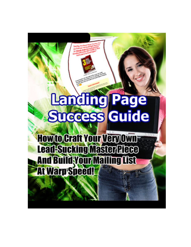# **Landing Page** Success Guide

**How to Craft Your Very Own-**Lead-Sucking Master Piece **And Build Your Mailing List At Warp Speed!**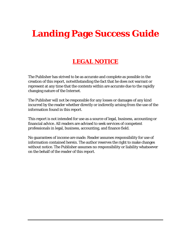### **Landing Page Success Guide**

#### **LEGAL NOTICE**

The Publisher has strived to be as accurate and complete as possible in the creation of this report, notwithstanding the fact that he does not warrant or represent at any time that the contents within are accurate due to the rapidly changing nature of the Internet.

The Publisher will not be responsible for any losses or damages of any kind incurred by the reader whether directly or indirectly arising from the use of the information found in this report.

This report is not intended for use as a source of legal, business, accounting or financial advice. All readers are advised to seek services of competent professionals in legal, business, accounting, and finance field.

No guarantees of income are made. Reader assumes responsibility for use of information contained herein. The author reserves the right to make changes without notice. The Publisher assumes no responsibility or liability whatsoever on the behalf of the reader of this report.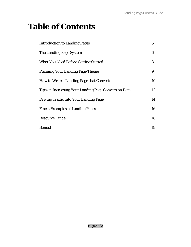### **Table of Contents**

| <b>Introduction to Landing Pages</b>                 | $\mathbf 5$ |
|------------------------------------------------------|-------------|
| The Landing Page System                              | 6           |
| <b>What You Need Before Getting Started</b>          | 8           |
| <b>Planning Your Landing Page Theme</b>              | 9           |
| How to Write a Landing Page that Converts            | 10          |
| Tips on Increasing Your Landing Page Conversion Rate | 12          |
| Driving Traffic into Your Landing Page               | 14          |
| <b>Finest Examples of Landing Pages</b>              | 16          |
| <b>Resource Guide</b>                                | 18          |
| <b>Bonus!</b>                                        | 19          |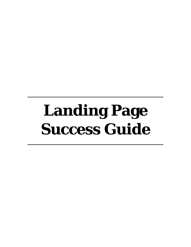## **Landing Page Success Guide**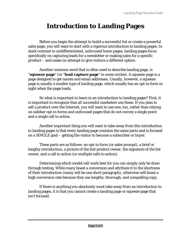#### **Introduction to Landing Pages**

Before you begin the attempt to build a successful list or create a powerful sales page, you will want to start with a rigorous introduction to landing pages. In stark contrast to undifferentiated, unfocused home pages, landing pages focus specifically on capturing leads for a newsletter or making sales for a specific product – and make no attempt to give visitors a different option.

Another common word that is often used to describe landing page, is "**squeeze page**" (or "**lead capture page**" in some circles). A squeeze page is a page designed to get names and email addresses. Usually, however, a squeeze page is usually a smaller type of landing page, which usually has an opt-in form in sight when the page loads.

So what is important to learn in an introduction to landing pages? First, it is important to recognize that all successful marketers use these. If you plan to sell a product over the Internet, you will want to use one, too, rather than relying on sidebar opt-in forms and unfocused pages that do not convey a single point and a single call to action.

Another important thing you will want to take away from this introduction to landing pages is that every landing page contains the same parts and is focused on a SINGLE goal – getting the visitor to become a subscriber or buyer.

These parts are as follows: an opt-in form (or sales prompt), a brief or lengthy introduction, a picture of the list/product owner, the signature of the list owner, and a call to action (or multiple calls to action).

Determining which model will work best for you can simply only be done through testing. While many boast a conversion and attribute it to the shortness of their introduction (many will be one short paragraph), otherwise will boast a high conversion rate because they use lengthy, thorough, and compelling copy.

If there is anything you absolutely must take away from an introduction to landing pages, it is that you cannot create a landing page or squeeze page that isn't focused.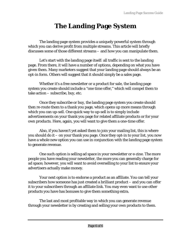#### **The Landing Page System**

The landing page system provides a uniquely powerful system through which you can derive profit from multiple streams. This article will briefly discusses some of those different streams – and how you can manipulate them.

Let's start with the landing page itself: all traffic is sent to the landing page. From there, it will have a number of options, depending on what you have given them. Many marketers suggest that your landing page should always be an opt-in form. Others will suggest that it should simply be a sales page.

Whether it's a free newsletter or a product for sale, the landing page system you create should include a "one time offer," which will compel them to take action – subscribe, buy, etc.

Once they subscribe or buy, the landing page system you create should then re-route them to a thank you page, which opens up more means through which you can up-sell. One quick way to up-sell is to simply include advertisements on your thank you page for related affiliate products or for your own products. Here, again, you will want to give them a one-time offer.

Also, if you haven't yet asked them to join your mailing list, this is where you should do it – on your thank you page. Once they opt-in to your list, you now have a whole new option you can use in conjunction with the landing page system to generate revenue.

One such option is selling ad space in your newsletter or e-zine. The more people you have reading your newsletter, the more you can generally charge for ad space; however, you will want to avoid overselling to your list to ensure your advertisers actually make money.

Your next option is to endorse a product as an affiliate. You can tell your subscribers how someone has just created a brilliant product – and you can offer it to your subscribers through an affiliate link. You may even want to use other products you have has bonuses to give them something extra.

The last and most profitable way in which you can generate revenue through your newsletter is by creating and selling your own products to them.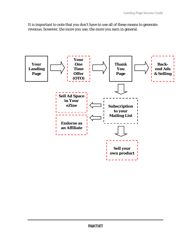It is important to note that you don't have to use all of these means to generate revenue; however, the more you use, the more you earn in general.

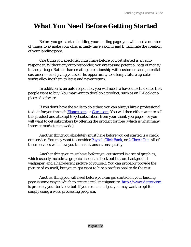#### **What You Need Before Getting Started**

Before you get started building your landing page, you will need a number of things to a) make your offer actually have a point; and b) facilitate the creation of your landing page.

One thing you absolutely must have before you get started is an auto responder. Without any auto responder, you are tossing potential bags of money in the garbage. Rather than creating a relationship with customers and potential customers – and giving yourself the opportunity to attempt future up-sales - you're allowing them to leave and never return.

In addition to an auto responder, you will need to have an actual offer that people want to buy. You may want to develop a product, such as an E-Book or a piece of software.

If you don't have the skills to do either, you can always hire a professional to do it for you through [Elance.com](http://www.elance.com/) or [Guru.com.](http://www.guru.com/) You will then either want to sell this product and attempt to get subscribers from your thank you page – or you will want to get subscribers by offering the product for free (which is what many Internet marketers now do).

Another thing you absolutely must have before you get started is a check out service. You may want to consider [Paypal,](http://www.paypal.com/) [Click Bank](http://www.clickbank.com/), or [2 Check Out.](http://www.2checkout.com/) All of these services will allow you to make transactions quickly.

Another thing you must have before you get started is a set of graphics, which usually includes a graphic header, a check out button, background wallpaper, and a half-decent picture of yourself. You can probably provide the picture of yourself, but you might want to hire a professional to do the rest.

Another thing you will need before you can get started on your landing page is some way in which to create a realistic signature. [http://www.vletter.com](http://www.vletter.com/) is probably your best bet; but, if you're on a budget, you may want to opt for simply using a word processing program.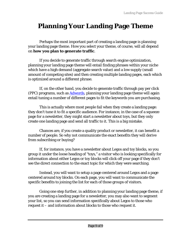#### **Planning Your Landing Page Theme**

Perhaps the most important part of creating a landing page is planning your landing page theme. How you select your theme, of course, will all depend on **how you plan to generate traffic**.

If you decide to generate traffic through search engine optimization, planning your landing page theme will entail finding phrases within your niche which have a high demand (aggregate search value) and a low supply (small amount of competing sites) and then creating multiple landing pages, each which is optimized around a different phrase.

If, on the other hand, you decide to generate traffic through pay per click (PPC) programs, such as **[Adwords](http://www.adwords.com/)**, planning your landing page theme will again entail tuning a number of different pages to fit the keywords you are purchasing.

This is actually where most people fail when they create a landing page: they don't tune it to fit a specific audience. For instance, in the case of a squeeze page for a newsletter, they might start a newsletter about toys, but they only create one landing page and send all traffic to it. This is a big mistake.

Chances are, if you create a quality product or newsletter, it can benefit a number of people. So why not communicate the exact benefits they will derive from subscribing or buying?

If, for instance, you have a newsletter about Legos and toy blocks, so you group it under the loose heading of "toys," a visitor who is looking specifically for information about either Legos or toy blocks will click off your page if they don't see the direct connection to the exact topic for which they were searching.

Instead, you will want to setup a page centered around Legos and a page centered around toy blocks. On each page, you will want to communicate the specific benefits to joining the list for each of those groups of visitors.

Going one step further, in addition to planning your landing page theme, if you are creating a landing page for a newsletter, you may also want to segment your list, so you can send information specifically about Legos to those who request it – and information about blocks to those who request it.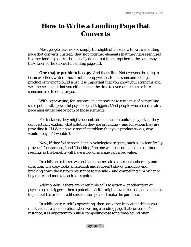#### **How to Write a Landing Page that Converts**

Most people have no (or simply the slightest) idea how to write a landing page that converts. Instead, they slop together elements that they have seen used in other landing pages – but usually do not put them together in the same way the owner of the successful landing page did.

**One major problem is copy.** And that's fine. Not everyone is going to be an excellent writer – never mind a copywriter. But as someone selling a product or trying to build a list, it is important that you know your strengths and weaknesses – and that you either spend the time to overcome them or hire someone else to do it for you.

With copywriting, for instance, it is important to use a mix of compelling sales points with powerful psychological triggers. Most people who create a sales page miss either one or both of those elements.

For instance, they might concentrate so much on building hype that they don't actually explain what solution they are providing – and for whom they are providing it. If I don't have a specific problem that your product solves, why would I buy it? I wouldn't.

Now, **if** they fail to sprinkle in psychological triggers, such as "scientifically proven," "guaranteed," and "shocking," no one will feel compelled to continue reading, as the benefits will have a low or average perceived value.

In addition to these two problems, some sales pages lack coherency and direction. The copy looks amateurish and it doesn't slowly grind forward, breaking down the visitor's resistance to the sale – and compelling him or her to buy more and more at each sales point.

Additionally, if there aren't multiple calls to action – another form of psychological trigger – then a potential visitor might never feel compelled enough to pull out his or her credit card on the spot and make the purchase.

In addition to careful copywriting, there are other important things you must take into consideration when writing a landing page that converts. For instance, it is important to build a compelling case for a time-bound offer.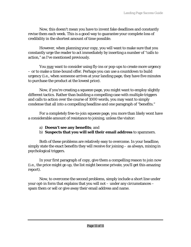Now, this doesn't mean you have to invent fake deadlines and constantly revise them each week. This is a good way to guarantee your complete loss of credibility in the shortest amount of time possible.

However, when planning your copy, you will want to make sure that you constantly urge the reader to act immediately by inserting a number of "calls to action," as I've mentioned previously.

You may want to consider using fly-ins or pop-ups to create more urgency – or to make a time-bound offer. Perhaps you can use a countdown to build urgency (i.e., when someone arrives at your landing page, they have five minutes to purchase the product at the lowest price).

Now, if you're creating a squeeze page, you might want to employ slightly different tactics. Rather than building a compelling case with multiple triggers and calls to action over the course of 1000 words, you may want to simply condense that all into a compelling headline and one paragraph of "benefits."

For a completely free-to-join squeeze page, you more than likely wont have a considerable amount of resistance to joining, unless the visitor:

- a) **Doesn't see any benefits**; and
- b) **Suspects that you will sell their email address** to spammers.

Both of these problems are relatively easy to overcome. In your headline, simply state the exact benefits they will receive for joining – as always, mixing in psychological triggers.

In your first paragraph of copy, give them a compelling reason to join now (i.e., the price might go up, the list might become private, you'll get this amazing report).

Now, to overcome the second problems, simply include a short line under your opt-in form that explains that you will not – under any circumstances – spam them or sell or give away their email address and name.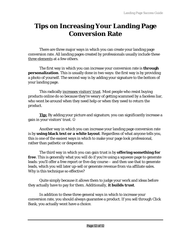#### **Tips on Increasing Your Landing Page Conversion Rate**

There are three major ways in which you can create your landing page conversion rate. All landing pages created by professionals usually include these three elements at a few others.

The first way in which you can increase your conversion rate is **through personalization**. This is usually done in two ways: the first way is by providing a photo of yourself. The second way is by adding your signature to the bottom of your landing page.

This radically increases visitors' trust. Most people who resist buying products online do so because they're weary of getting scammed by a faceless liar, who wont be around when they need help or when they need to return the product.

**Tip:** By adding your picture and signature, you can significantly increase a gain in your visitors' trust. ☺

Another way in which you can increase your landing page conversion rate is by **using black text or a white layout**. Regardless of what anyone tells you, this is one of the easiest ways in which to make your page look professional, rather than pathetic or desperate.

The third way in which you can gain trust is by **offering something for free**. This is generally what you will do if you're using a squeeze page to generate leads: you'll offer a free report or five-day course – and then use that to generate leads, which you will later up-sell or generate revenue from via affiliate sales. Why is this technique so effective?

Quite simply because it allows them to judge your work and ideas before they actually have to pay for them. Additionally, **it builds trust**.

In addition to these three general ways in which to increase your conversion rate, you should always guarantee a product. If you sell through Click Bank, you actually wont have a choice.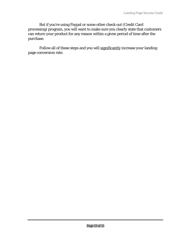But if you're using Paypal or some other check out (Credit Card processing) program, you will want to make sure you clearly state that customers can return your product for any reason within a given period of time after the purchase.

Follow all of these steps and you will significantly increase your landing page conversion rate.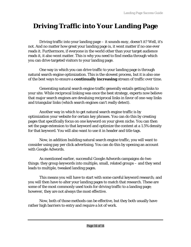#### **Driving Traffic into Your Landing Page**

Driving traffic into your landing page – it *sounds easy, doesn't it*? Well, it's not. And no matter how great your landing page is, it wont matter if no one ever reads it. Furthermore, if everyone in the world other than your target audience reads it, it also wont matter. This is why you need to find media through which you can drive targeted visitors to your landing page.

One way in which you can drive traffic to your landing page is through natural search engine optimization. This is the slowest process, but it is also one of the best ways to ensure a **continually increasing** stream of traffic over time.

Generating natural search engine traffic generally entails getting links to your site. While reciprocal linking was once the best strategy, experts now believe that major search engines are devaluing reciprocal links in favor of one-way links and triangular links (which search engines can't really detect).

Another way in which to get natural search engine traffic is by optimization your website for certain key phrases. You can do this by creating pages that specifically focus on one keyword on your given niche. You can then set the page extension to that keyword and optimize the content at a 1.5% density for that keyword. You will also want to use it in header and title tags.

Now, in addition building natural search engine traffic, you will want to consider using pay per click advertising. You can do this by opening an account with Google Adwords.

As mentioned earlier, successful Google Adwords campaigns do two things: they group keywords into multiple, small, related groups – and they send leads to multiple, tweaked landing pages.

This means you will have to start with some careful keyword research; and you will then have to alter your landing pages to match that research. These are some of the most commonly used tools for driving traffic to a landing page; however, they are not always the most effective.

Now, both of those methods can be effective, but they both usually have rather high barriers to entry and require a lot of work.